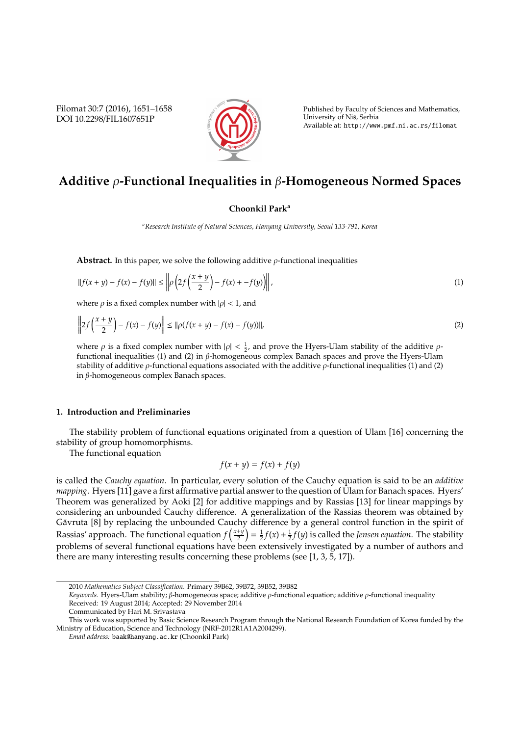Filomat 30:7 (2016), 1651–1658 DOI 10.2298/FIL1607651P



Published by Faculty of Sciences and Mathematics, University of Nis, Serbia ˇ Available at: http://www.pmf.ni.ac.rs/filomat

# **Additive** ρ**-Functional Inequalities in** β**-Homogeneous Normed Spaces**

# **Choonkil Park<sup>a</sup>**

*<sup>a</sup>Research Institute of Natural Sciences, Hanyang University, Seoul 133-791, Korea*

**Abstract.** In this paper, we solve the following additive  $\rho$ -functional inequalities

$$
||f(x + y) - f(x) - f(y)|| \le ||\rho \left(2f\left(\frac{x + y}{2}\right) - f(x) + -f(y)\right)||,
$$
\n(1)

where  $\rho$  is a fixed complex number with  $|\rho|$  < 1, and

$$
\left\| 2f\left(\frac{x+y}{2}\right) - f(x) - f(y)\right\| \le \|\rho(f(x+y) - f(x) - f(y))\|,\tag{2}
$$

where  $\rho$  is a fixed complex number with  $|\rho| < \frac{1}{2}$ , and prove the Hyers-Ulam stability of the additive  $\rho$ functional inequalities (1) and (2) in β-homogeneous complex Banach spaces and prove the Hyers-Ulam stability of additive  $\rho$ -functional equations associated with the additive  $\rho$ -functional inequalities (1) and (2) in β-homogeneous complex Banach spaces.

#### **1. Introduction and Preliminaries**

The stability problem of functional equations originated from a question of Ulam [16] concerning the stability of group homomorphisms.

The functional equation

$$
f(x + y) = f(x) + f(y)
$$

is called the *Cauchy equation*. In particular, every solution of the Cauchy equation is said to be an *additive mapping*. Hyers [11] gave a first affirmative partial answer to the question of Ulam for Banach spaces. Hyers' Theorem was generalized by Aoki [2] for additive mappings and by Rassias [13] for linear mappings by considering an unbounded Cauchy difference. A generalization of the Rassias theorem was obtained by Găvruta [8] by replacing the unbounded Cauchy difference by a general control function in the spirit of Rassias' approach. The functional equation  $f\left(\frac{x+y}{2}\right)$  $(\frac{2+i}{2}) = \frac{1}{2}f(x) + \frac{1}{2}f(y)$  is called the *Jensen equation*. The stability problems of several functional equations have been extensively investigated by a number of authors and there are many interesting results concerning these problems (see [1, 3, 5, 17]).

*Keywords*. Hyers-Ulam stability; β-homogeneous space; additive ρ-functional equation; additive ρ-functional inequality Received: 19 August 2014; Accepted: 29 November 2014

<sup>2010</sup> *Mathematics Subject Classification*. Primary 39B62, 39B72, 39B52, 39B82

Communicated by Hari M. Srivastava

This work was supported by Basic Science Research Program through the National Research Foundation of Korea funded by the Ministry of Education, Science and Technology (NRF-2012R1A1A2004299).

*Email address:* baak@hanyang.ac.kr (Choonkil Park)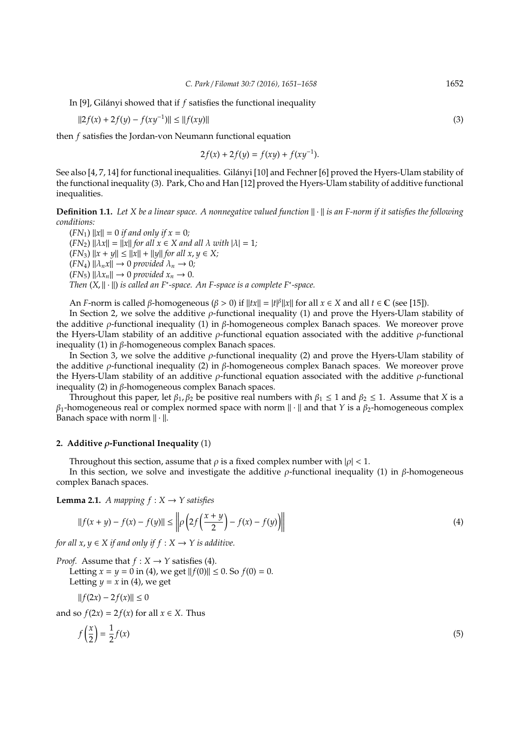In [9], Gilányi showed that if f satisfies the functional inequality

$$
||2f(x) + 2f(y) - f(xy^{-1})|| \le ||f(xy)|| \tag{3}
$$

then *f* satisfies the Jordan-von Neumann functional equation

$$
2f(x) + 2f(y) = f(xy) + f(xy^{-1}).
$$

See also [4, 7, 14] for functional inequalities. Gilányi [10] and Fechner [6] proved the Hyers-Ulam stability of the functional inequality (3). Park, Cho and Han [12] proved the Hyers-Ulam stability of additive functional inequalities.

**Definition 1.1.** Let X be a linear space. A nonnegative valued function  $\|\cdot\|$  is an F-norm if it satisfies the following *conditions:*

 $(FN_1)$   $||x|| = 0$  *if and only if*  $x = 0$ *;*  $(FN_2)$   $\|\lambda x\| = \|x\|$  *for all*  $x \in X$  *and all*  $\lambda$  *with*  $|\lambda| = 1$ *;*  $(FN_3)$   $||x + y|| \le ||x|| + ||y||$  *for all x*,  $y \in X$ ;  $(FN_4)$   $\|\lambda_n x\| \to 0$  *provided*  $\lambda_n \to 0$ *;*  $(FN_5)$   $\|\lambda x_n\| \to 0$  *provided*  $x_n \to 0$ *. Then* (*X*,  $\|\cdot\|$ ) *is called an F<sup>∗</sup>-space. An F-space is a complete F<sup>∗</sup>-space.* 

An *F*-norm is called  $\beta$ -homogeneous ( $\beta > 0$ ) if  $||tx|| = |t|^{\beta}||x||$  for all  $x \in X$  and all  $t \in \mathbb{C}$  (see [15]).

In Section 2, we solve the additive  $\rho$ -functional inequality (1) and prove the Hyers-Ulam stability of the additive *ρ*-functional inequality (1) in *β*-homogeneous complex Banach spaces. We moreover prove the Hyers-Ulam stability of an additive  $\rho$ -functional equation associated with the additive  $\rho$ -functional inequality (1) in  $β$ -homogeneous complex Banach spaces.

In Section 3, we solve the additive  $\rho$ -functional inequality (2) and prove the Hyers-Ulam stability of the additive *ρ*-functional inequality (2) in *β*-homogeneous complex Banach spaces. We moreover prove the Hyers-Ulam stability of an additive ρ-functional equation associated with the additive ρ-functional inequality (2) in  $\beta$ -homogeneous complex Banach spaces.

Throughout this paper, let  $\beta_1$ ,  $\beta_2$  be positive real numbers with  $\beta_1 \leq 1$  and  $\beta_2 \leq 1$ . Assume that *X* is a  $β_1$ -homogeneous real or complex normed space with norm  $\| \cdot \|$  and that *Y* is a  $β_2$ -homogeneous complex Banach space with norm  $\|\cdot\|$ .

### **2. Additive** ρ**-Functional Inequality** (1)

Throughout this section, assume that  $\rho$  is a fixed complex number with  $|\rho| < 1$ .

In this section, we solve and investigate the additive  $ρ$ -functional inequality (1) in  $β$ -homogeneous complex Banach spaces.

**Lemma 2.1.** *A mapping*  $f: X \rightarrow Y$  satisfies

$$
||f(x + y) - f(x) - f(y)|| \le ||\rho \left(2f\left(\frac{x + y}{2}\right) - f(x) - f(y)\right)||
$$
\n(4)

*for all*  $x, y \in X$  *if and only if*  $f : X \rightarrow Y$  *is additive.* 

*Proof.* Assume that  $f: X \rightarrow Y$  satisfies (4).

Letting  $x = y = 0$  in (4), we get  $||f(0)|| \le 0$ . So  $f(0) = 0$ . Letting  $y = x$  in (4), we get

$$
||f(2x) - 2f(x)|| \le 0
$$

and so  $f(2x) = 2f(x)$  for all  $x \in X$ . Thus

$$
f\left(\frac{x}{2}\right) = \frac{1}{2}f(x) \tag{5}
$$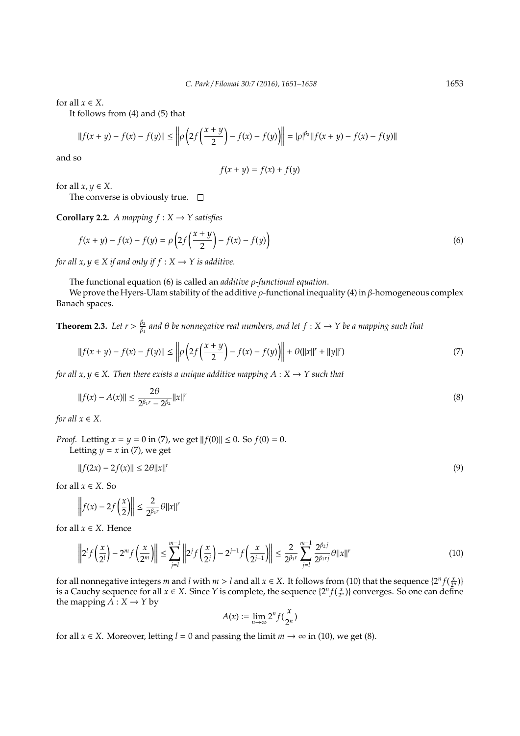for all  $x \in X$ .

It follows from (4) and (5) that

$$
||f(x + y) - f(x) - f(y)|| \le ||\rho \left(2f\left(\frac{x + y}{2}\right) - f(x) - f(y)\right)|| = |\rho|^{\beta_2}||f(x + y) - f(x) - f(y)||
$$

and so

$$
f(x + y) = f(x) + f(y)
$$

for all  $x, y \in X$ .

The converse is obviously true.  $\square$ 

**Corollary 2.2.** *A mapping*  $f: X \rightarrow Y$  satisfies

$$
f(x + y) - f(x) - f(y) = \rho \left( 2f\left(\frac{x + y}{2}\right) - f(x) - f(y) \right)
$$
\n(6)

*for all x, y*  $\in$  *X if and only if f* : *X*  $\rightarrow$  *Y is additive.* 

The functional equation (6) is called an *additive* ρ*-functional equation*.

We prove the Hyers-Ulam stability of the additive  $\rho$ -functional inequality (4) in  $\beta$ -homogeneous complex Banach spaces.

**Theorem 2.3.** *Let*  $r > \frac{\beta_2}{\beta_1}$  $\frac{\beta_2}{\beta_1}$  and  $\theta$  be nonnegative real numbers, and let  $f:X\to Y$  be a mapping such that

$$
||f(x + y) - f(x) - f(y)|| \le ||\rho \left(2f\left(\frac{x + y}{2}\right) - f(x) - f(y)\right)|| + \theta(||x||^r + ||y||^r)
$$
\n(7)

*for all*  $x, y \in X$ . Then there exists a unique additive mapping  $A: X \rightarrow Y$  such that

$$
||f(x) - A(x)|| \le \frac{2\theta}{2^{\beta_1 r} - 2^{\beta_2}} ||x||^r
$$
\n(8)

*for all*  $x \in X$ *.* 

*Proof.* Letting  $x = y = 0$  in (7), we get  $||f(0)|| \le 0$ . So  $f(0) = 0$ . Letting  $y = x$  in (7), we get

$$
||f(2x) - 2f(x)|| \le 2\theta ||x||^r \tag{9}
$$

for all  $x \in X$ . So

$$
\left\|f(x) - 2f\left(\frac{x}{2}\right)\right\| \le \frac{2}{2^{\beta_1 r}} \theta \|x\|^r
$$

for all  $x \in X$ . Hence

$$
\left\|2^{l} f\left(\frac{x}{2^{l}}\right) - 2^{m} f\left(\frac{x}{2^{m}}\right)\right\| \leq \sum_{j=l}^{m-1} \left\|2^{j} f\left(\frac{x}{2^{j}}\right) - 2^{j+1} f\left(\frac{x}{2^{j+1}}\right)\right\| \leq \frac{2}{2^{\beta_{1} r}} \sum_{j=l}^{m-1} \frac{2^{\beta_{2} j}}{2^{\beta_{1} r j}} \theta \|x\|^{r}
$$
(10)

for all nonnegative integers *m* and *l* with  $m > l$  and all  $x \in X$ . It follows from (10) that the sequence  $\{2^n f(\frac{x}{2^n})\}$ is a Cauchy sequence for all  $x \in X$ . Since *Y* is complete, the sequence  $\{2^n f(\frac{x}{2^n})\}$  converges. So one can define the mapping  $\overline{A}$  :  $X \rightarrow Y$  by

$$
A(x):=\lim_{n\to\infty}2^nf(\frac{x}{2^n})
$$

for all  $x \in X$ . Moreover, letting  $l = 0$  and passing the limit  $m \to \infty$  in (10), we get (8).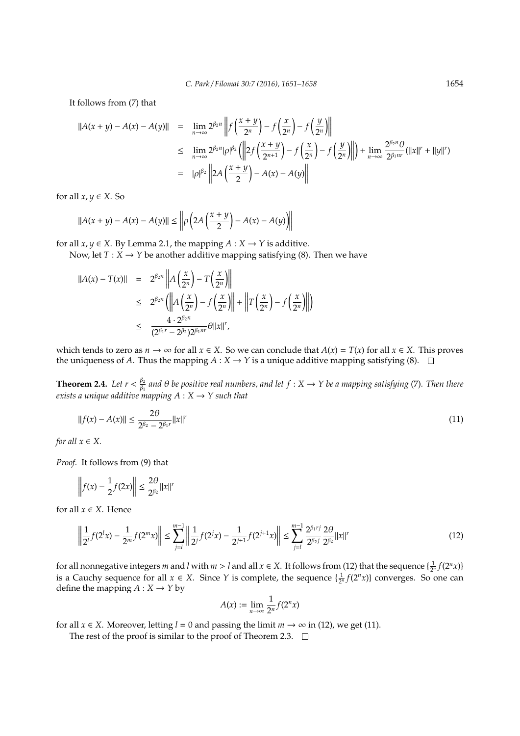It follows from (7) that

$$
\begin{array}{rcl}\n||A(x+y) - A(x) - A(y)|| & = & \lim_{n \to \infty} 2^{\beta_{2}n} \left\| f\left(\frac{x+y}{2^n}\right) - f\left(\frac{x}{2^n}\right) - f\left(\frac{y}{2^n}\right) \right\| \\
& \leq & \lim_{n \to \infty} 2^{\beta_{2}n} |\rho|^{\beta_{2}} \left( \left\| 2f\left(\frac{x+y}{2^{n+1}}\right) - f\left(\frac{x}{2^n}\right) - f\left(\frac{y}{2^n}\right) \right\| \right) + \lim_{n \to \infty} \frac{2^{\beta_{2}n} \theta}{2^{\beta_{1}n r}} (\|x\|^{r} + \|y\|^{r}) \\
& = & |\rho|^{\beta_{2}} \left\| 2A\left(\frac{x+y}{2}\right) - A(x) - A(y) \right\|\n\end{array}
$$

for all  $x, y \in X$ . So

$$
||A(x + y) - A(x) - A(y)|| \le ||\rho (2A(\frac{x + y}{2}) - A(x) - A(y)||
$$

for all  $x, y \in X$ . By Lemma 2.1, the mapping  $A: X \to Y$  is additive.

Now, let  $T: X \to Y$  be another additive mapping satisfying (8). Then we have

$$
\begin{array}{rcl} ||A(x) - T(x)|| & = & 2^{\beta_2 n} \left\| A\left(\frac{x}{2^n}\right) - T\left(\frac{x}{2^n}\right) \right\| \\ & \leq & 2^{\beta_2 n} \left( \left\| A\left(\frac{x}{2^n}\right) - f\left(\frac{x}{2^n}\right) \right\| + \left\| T\left(\frac{x}{2^n}\right) - f\left(\frac{x}{2^n}\right) \right\| \right) \\ & \leq & \frac{4 \cdot 2^{\beta_2 n}}{(2^{\beta_1 r} - 2^{\beta_2}) 2^{\beta_1 n r}} \theta \|x\|^{r}, \end{array}
$$

which tends to zero as  $n \to \infty$  for all  $x \in X$ . So we can conclude that  $A(x) = T(x)$  for all  $x \in X$ . This proves the uniqueness of *A*. Thus the mapping  $A: X \to Y$  is a unique additive mapping satisfying (8).  $\Box$ 

**Theorem 2.4.** *Let*  $r < \frac{\beta_2}{\beta_1}$ β1 *and* θ *be positive real numbers, and let f* : *X* → *Y be a mapping satisfying* (7)*. Then there exists a unique additive mapping*  $A: X \rightarrow Y$  *such that* 

$$
||f(x) - A(x)|| \le \frac{2\theta}{2^{\beta_2} - 2^{\beta_1 r}} ||x||^r
$$
\n(11)

*for all*  $x \in X$ *.* 

*Proof.* It follows from (9) that

$$
\left\|f(x) - \frac{1}{2}f(2x)\right\| \le \frac{2\theta}{2^{\beta_2}}\|x\|^r
$$

for all  $x \in X$ . Hence

$$
\left\| \frac{1}{2^l} f(2^l x) - \frac{1}{2^m} f(2^m x) \right\| \le \sum_{j=l}^{m-1} \left\| \frac{1}{2^j} f(2^j x) - \frac{1}{2^{j+1}} f(2^{j+1} x) \right\| \le \sum_{j=l}^{m-1} \frac{2^{\beta_1 r j}}{2^{\beta_2 j}} \frac{2 \theta}{2^{\beta_2}} \|x\|^r \tag{12}
$$

for all nonnegative integers *m* and *l* with  $m > l$  and all  $x \in X$ . It follows from (12) that the sequence  $\{\frac{1}{2^n} f(2^n x)\}$ is a Cauchy sequence for all  $x \in X$ . Since *Y* is complete, the sequence  $\{\frac{1}{2^n} f(2^n x)\}$  converges. So one can define the mapping  $A: X \rightarrow Y$  by

$$
A(x) := \lim_{n \to \infty} \frac{1}{2^n} f(2^n x)
$$

for all *x*  $\in$  *X*. Moreover, letting *l* = 0 and passing the limit *m*  $\rightarrow \infty$  in (12), we get (11).

The rest of the proof is similar to the proof of Theorem 2.3.  $\Box$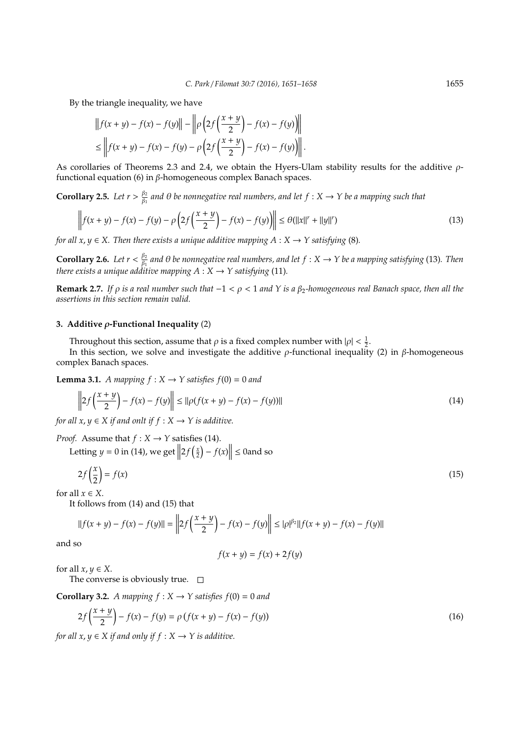By the triangle inequality, we have

$$
||f(x + y) - f(x) - f(y)|| - ||\rho \left(2f\left(\frac{x + y}{2}\right) - f(x) - f(y)\right)||
$$
  

$$
\leq ||f(x + y) - f(x) - f(y) - \rho \left(2f\left(\frac{x + y}{2}\right) - f(x) - f(y)\right)||.
$$

As corollaries of Theorems 2.3 and 2.4, we obtain the Hyers-Ulam stability results for the additive  $\rho$ functional equation (6) in β-homogeneous complex Banach spaces.

**Corollary 2.5.** *Let*  $r > \frac{\beta_2}{\beta_1}$  $\frac{\beta_2}{\beta_1}$  and  $\theta$  be nonnegative real numbers, and let  $f:X\to Y$  be a mapping such that

$$
\left\| f(x+y) - f(x) - f(y) - \rho \left( 2f\left(\frac{x+y}{2}\right) - f(x) - f(y) \right) \right\| \leq \theta(||x||^r + ||y||^r) \tag{13}
$$

*for all x, y*  $\in$  *X. Then there exists a unique additive mapping A* : *X*  $\rightarrow$  *Y satisfying* (8)*.* 

**Corollary 2.6.** *Let*  $r < \frac{\beta_2}{\beta_1}$ β1 *and* θ *be nonnegative real numbers, and let f* : *X* → *Y be a mapping satisfying* (13)*. Then there exists a unique additive mapping*  $A: X \rightarrow Y$  *satisfying* (11)*.* 

**Remark 2.7.** *If* ρ *is a real number such that* −1 < ρ < 1 *and Y is a* β2*-homogeneous real Banach space, then all the assertions in this section remain valid.*

## **3. Additive** ρ**-Functional Inequality** (2)

Throughout this section, assume that  $\rho$  is a fixed complex number with  $|\rho| < \frac{1}{2}$ .

In this section, we solve and investigate the additive  $\rho$ -functional inequality (2) in  $\beta$ -homogeneous complex Banach spaces.

**Lemma 3.1.** *A mapping*  $f : X \rightarrow Y$  *satisfies*  $f(0) = 0$  *and* 

$$
\left\| 2f\left(\frac{x+y}{2}\right) - f(x) - f(y) \right\| \le \|\rho(f(x+y) - f(x) - f(y))\|
$$
\n(14)

*for all*  $x, y \in X$  *if and onlt if*  $f : X \rightarrow Y$  *is additive.* 

*Proof.* Assume that  $f: X \rightarrow Y$  satisfies (14).

Letting  $y = 0$  in (14), we get  $||2f(\frac{x}{2}) - f(x)|| \le 0$  and so

$$
2f\left(\frac{x}{2}\right) = f(x) \tag{15}
$$

for all  $x \in X$ .

It follows from (14) and (15) that

$$
||f(x + y) - f(x) - f(y)|| = \left||2f(\frac{x + y}{2}) - f(x) - f(y)\right|| \le |\rho|^{\beta 2}||f(x + y) - f(x) - f(y)||
$$

and so

$$
f(x + y) = f(x) + 2f(y)
$$

for all  $x, y \in X$ .

The converse is obviously true.  $\square$ 

**Corollary 3.2.** *A mapping*  $f : X \rightarrow Y$  *satisfies*  $f(0) = 0$  *and* 

$$
2f\left(\frac{x+y}{2}\right) - f(x) - f(y) = \rho \left(f(x+y) - f(x) - f(y)\right)
$$
\n(16)

*for all*  $x, y \in X$  *if and only if*  $f: X \rightarrow Y$  *is additive.*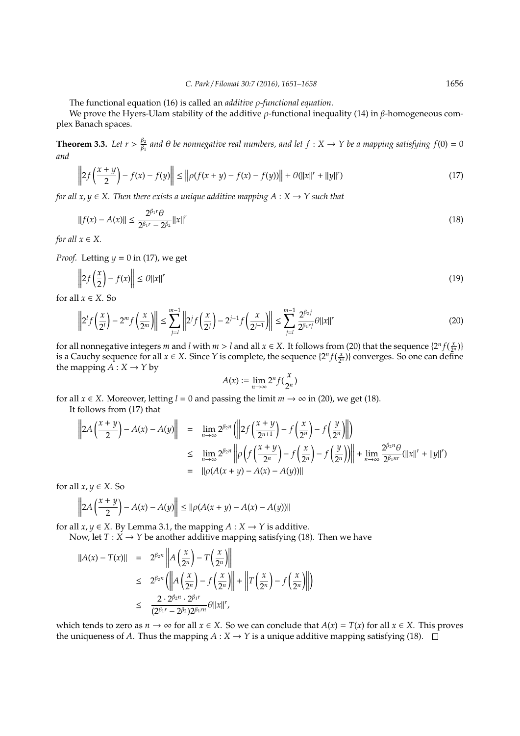The functional equation (16) is called an *additive* ρ*-functional equation*.

We prove the Hyers-Ulam stability of the additive  $\rho$ -functional inequality (14) in  $\beta$ -homogeneous complex Banach spaces.

**Theorem 3.3.** *Let*  $r > \frac{\beta_2}{\beta_1}$  $\frac{\beta_2}{\beta_1}$  and  $\theta$  be nonnegative real numbers, and let  $f:X\to Y$  be a mapping satisfying  $f(0)=0$ *and*

$$
\left\| 2f\left(\frac{x+y}{2}\right) - f(x) - f(y)\right\| \le \left\| \rho(f(x+y) - f(x) - f(y)) \right\| + \theta(\|x\|^r + \|y\|^r) \tag{17}
$$

*for all x, y*  $\in$  *X. Then there exists a unique additive mapping A* : *X*  $\rightarrow$  *Y such that* 

$$
||f(x) - A(x)|| \le \frac{2^{\beta_1 r} \theta}{2^{\beta_1 r} - 2^{\beta_2}} ||x||^r
$$
\n(18)

*for all*  $x \in X$ *.* 

*Proof.* Letting *y* = 0 in (17), we get

$$
\left\| 2f\left(\frac{x}{2}\right) - f(x) \right\| \le \theta \|x\|^r \tag{19}
$$

for all  $x \in X$ . So

$$
\left\|2^{l} f\left(\frac{x}{2^{l}}\right) - 2^{m} f\left(\frac{x}{2^{m}}\right)\right\| \leq \sum_{j=l}^{m-1} \left\|2^{j} f\left(\frac{x}{2^{j}}\right) - 2^{j+1} f\left(\frac{x}{2^{j+1}}\right)\right\| \leq \sum_{j=l}^{m-1} \frac{2^{\beta_{2} j}}{2^{\beta_{1} r j}} \theta \|x\|^{r}
$$
(20)

for all nonnegative integers *m* and *l* with  $m > l$  and all  $x \in X$ . It follows from (20) that the sequence  $\{2^n f(\frac{x}{2^n})\}$ is a Cauchy sequence for all  $x \in X$ . Since *Y* is complete, the sequence  $\{2^n f(\frac{x}{2^n})\}$  converges. So one can define the mapping  $A: X \rightarrow Y$  by

$$
A(x) := \lim_{n \to \infty} 2^n f(\frac{x}{2^n})
$$

for all  $x \in X$ . Moreover, letting  $l = 0$  and passing the limit  $m \to \infty$  in (20), we get (18).

It follows from (17) that

$$
\left\|2A\left(\frac{x+y}{2}\right)-A(x)-A(y)\right\| = \lim_{n\to\infty} 2^{\beta_2 n} \left( \left\|2f\left(\frac{x+y}{2^{n+1}}\right)-f\left(\frac{x}{2^n}\right)-f\left(\frac{y}{2^n}\right) \right\|\right)
$$
  

$$
\leq \lim_{n\to\infty} 2^{\beta_2 n} \left\| \rho \left(f\left(\frac{x+y}{2^n}\right)-f\left(\frac{x}{2^n}\right)-f\left(\frac{y}{2^n}\right) \right) \right\| + \lim_{n\to\infty} \frac{2^{\beta_2 n} \theta}{2^{\beta_1 n r}} (\|x\|^r + \|y\|^r)
$$
  

$$
= \|\rho(A(x+y)-A(x)-A(y))\|
$$

for all  $x, y \in X$ . So

$$
\left\|2A\left(\frac{x+y}{2}\right)-A(x)-A(y)\right\| \leq ||\rho(A(x+y)-A(x)-A(y))||
$$

for all  $x, y \in X$ . By Lemma 3.1, the mapping  $A : X \to Y$  is additive.

Now, let  $T : X \to Y$  be another additive mapping satisfying (18). Then we have

$$
\begin{array}{rcl} ||A(x) - T(x)|| & = & 2^{\beta_2 n} \left\| A\left(\frac{x}{2^n}\right) - T\left(\frac{x}{2^n}\right) \right\| \\ & \leq & 2^{\beta_2 n} \left( \left\| A\left(\frac{x}{2^n}\right) - f\left(\frac{x}{2^n}\right) \right\| + \left\| T\left(\frac{x}{2^n}\right) - f\left(\frac{x}{2^n}\right) \right\| \right) \\ & \leq & \frac{2 \cdot 2^{\beta_2 n} \cdot 2^{\beta_1 r}}{(2^{\beta_1 r} - 2^{\beta_2}) 2^{\beta_1 r n}} \theta ||x||^r, \end{array}
$$

which tends to zero as  $n \to \infty$  for all  $x \in X$ . So we can conclude that  $A(x) = T(x)$  for all  $x \in X$ . This proves the uniqueness of *A*. Thus the mapping  $A: X \to Y$  is a unique additive mapping satisfying (18).  $\square$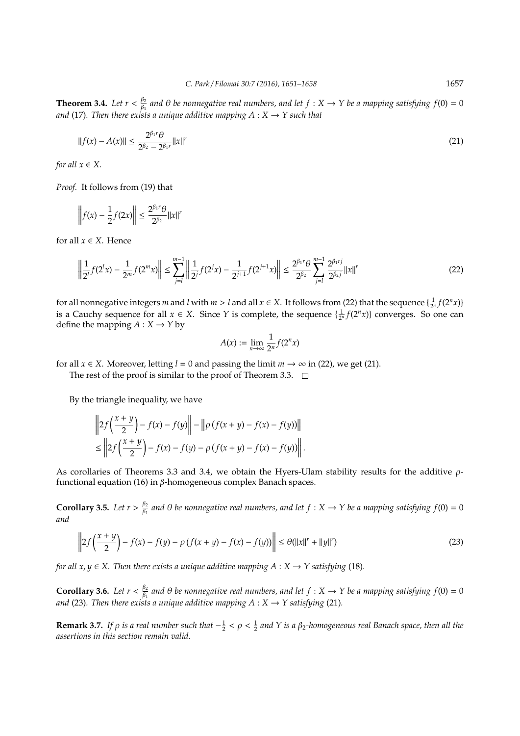**Theorem 3.4.** *Let*  $r < \frac{\beta_2}{\beta_1}$  $\frac{\beta_2}{\beta_1}$  and  $\theta$  be nonnegative real numbers, and let  $f:X\to Y$  be a mapping satisfying  $f(0)=0$ *and* (17)*. Then there exists a unique additive mapping A* : *X* → *Y such that*

$$
||f(x) - A(x)|| \le \frac{2^{\beta_1 r} \theta}{2^{\beta_2} - 2^{\beta_1 r}} ||x||^r
$$
\n(21)

*for all*  $x \in X$ *.* 

*Proof.* It follows from (19) that

$$
\left\| f(x) - \frac{1}{2} f(2x) \right\| \le \frac{2^{\beta_1 r} \theta}{2^{\beta_2}} \|x\|^r
$$

for all  $x \in X$ . Hence

$$
\left\| \frac{1}{2^l} f(2^l x) - \frac{1}{2^m} f(2^m x) \right\| \le \sum_{j=l}^{m-1} \left\| \frac{1}{2^j} f(2^j x) - \frac{1}{2^{j+1}} f(2^{j+1} x) \right\| \le \frac{2^{\beta_1 r} \theta}{2^{\beta_2}} \sum_{j=l}^{m-1} \frac{2^{\beta_1 r j}}{2^{\beta_2 j}} ||x||^r \tag{22}
$$

for all nonnegative integers *m* and *l* with  $m > l$  and all  $x \in X$ . It follows from (22) that the sequence  $\{\frac{1}{2^n} f(2^n x)\}$ is a Cauchy sequence for all  $x \in X$ . Since *Y* is complete, the sequence  $\{\frac{1}{2^n} f(2^n x)\}$  converges. So one can define the mapping  $A: X \rightarrow Y$  by

$$
A(x) := \lim_{n \to \infty} \frac{1}{2^n} f(2^n x)
$$

for all  $x \in X$ . Moreover, letting  $l = 0$  and passing the limit  $m \to \infty$  in (22), we get (21).

The rest of the proof is similar to the proof of Theorem 3.3.  $\Box$ 

By the triangle inequality, we have

$$
\left\| 2f\left(\frac{x+y}{2}\right) - f(x) - f(y)\right\| - \left\| \rho \left(f(x+y) - f(x) - f(y)\right) \right\|
$$
  

$$
\leq \left\| 2f\left(\frac{x+y}{2}\right) - f(x) - f(y) - \rho \left(f(x+y) - f(x) - f(y)\right) \right\|.
$$

As corollaries of Theorems 3.3 and 3.4, we obtain the Hyers-Ulam stability results for the additive  $\rho$ functional equation (16) in β-homogeneous complex Banach spaces.

**Corollary 3.5.** *Let*  $r > \frac{\beta_2}{\beta_1}$  $\frac{\beta_2}{\beta_1}$  and  $\theta$  be nonnegative real numbers, and let  $f:X\to Y$  be a mapping satisfying  $f(0)=0$ *and*

$$
\left\| 2f\left(\frac{x+y}{2}\right) - f(x) - f(y) - \rho \left(f(x+y) - f(x) - f(y)\right) \right\| \leq \theta(||x||^r + ||y||^r)
$$
\n(23)

*for all x*, *y*  $\in$  *X*. Then there exists a unique additive mapping  $A: X \rightarrow Y$  satisfying (18).

**Corollary 3.6.** *Let*  $r < \frac{\beta_2}{\beta_1}$  $\frac{\beta_2}{\beta_1}$  and  $\theta$  be nonnegative real numbers, and let  $f:X\to Y$  be a mapping satisfying  $f(0)=0$ and (23). Then there exists a unique additive mapping  $A: X \to Y$  satisfying (21).

**Remark 3.7.** If  $\rho$  is a real number such that  $-\frac{1}{2} < \rho < \frac{1}{2}$  and Y is a  $\beta_2$ -homogeneous real Banach space, then all the *assertions in this section remain valid.*